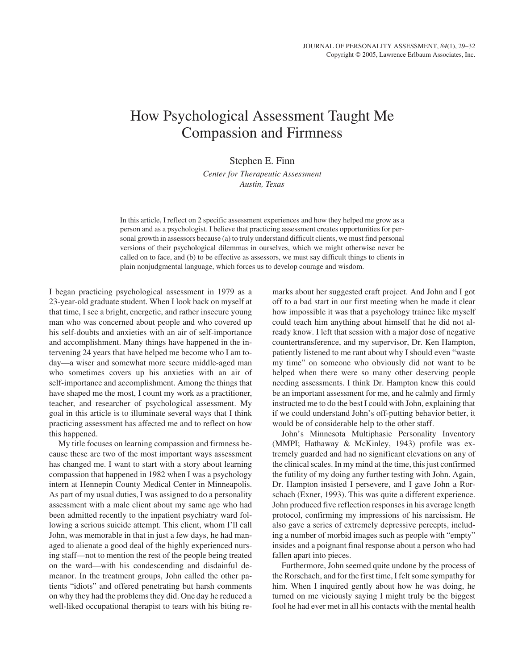## How Psychological Assessment Taught Me Compassion and Firmness

Stephen E. Finn

*Center for Therapeutic Assessment Austin, Texas*

In this article, I reflect on 2 specific assessment experiences and how they helped me grow as a person and as a psychologist. I believe that practicing assessment creates opportunities for personal growth in assessors because (a) to truly understand difficult clients, we must find personal versions of their psychological dilemmas in ourselves, which we might otherwise never be called on to face, and (b) to be effective as assessors, we must say difficult things to clients in plain nonjudgmental language, which forces us to develop courage and wisdom.

I began practicing psychological assessment in 1979 as a 23-year-old graduate student. When I look back on myself at that time, I see a bright, energetic, and rather insecure young man who was concerned about people and who covered up his self-doubts and anxieties with an air of self-importance and accomplishment. Many things have happened in the intervening 24 years that have helped me become who I am today—a wiser and somewhat more secure middle-aged man who sometimes covers up his anxieties with an air of self-importance and accomplishment. Among the things that have shaped me the most, I count my work as a practitioner, teacher, and researcher of psychological assessment. My goal in this article is to illuminate several ways that I think practicing assessment has affected me and to reflect on how this happened.

My title focuses on learning compassion and firmness because these are two of the most important ways assessment has changed me. I want to start with a story about learning compassion that happened in 1982 when I was a psychology intern at Hennepin County Medical Center in Minneapolis. As part of my usual duties, I was assigned to do a personality assessment with a male client about my same age who had been admitted recently to the inpatient psychiatry ward following a serious suicide attempt. This client, whom I'll call John, was memorable in that in just a few days, he had managed to alienate a good deal of the highly experienced nursing staff—not to mention the rest of the people being treated on the ward—with his condescending and disdainful demeanor. In the treatment groups, John called the other patients "idiots" and offered penetrating but harsh comments on why they had the problems they did. One day he reduced a well-liked occupational therapist to tears with his biting remarks about her suggested craft project. And John and I got off to a bad start in our first meeting when he made it clear how impossible it was that a psychology trainee like myself could teach him anything about himself that he did not already know. I left that session with a major dose of negative countertransference, and my supervisor, Dr. Ken Hampton, patiently listened to me rant about why I should even "waste my time" on someone who obviously did not want to be helped when there were so many other deserving people needing assessments. I think Dr. Hampton knew this could be an important assessment for me, and he calmly and firmly instructed me to do the best I could with John, explaining that if we could understand John's off-putting behavior better, it would be of considerable help to the other staff.

John's Minnesota Multiphasic Personality Inventory (MMPI; Hathaway & McKinley, 1943) profile was extremely guarded and had no significant elevations on any of the clinical scales. In my mind at the time, this just confirmed the futility of my doing any further testing with John. Again, Dr. Hampton insisted I persevere, and I gave John a Rorschach (Exner, 1993). This was quite a different experience. John produced five reflection responses in his average length protocol, confirming my impressions of his narcissism. He also gave a series of extremely depressive percepts, including a number of morbid images such as people with "empty" insides and a poignant final response about a person who had fallen apart into pieces.

Furthermore, John seemed quite undone by the process of the Rorschach, and for the first time, I felt some sympathy for him. When I inquired gently about how he was doing, he turned on me viciously saying I might truly be the biggest fool he had ever met in all his contacts with the mental health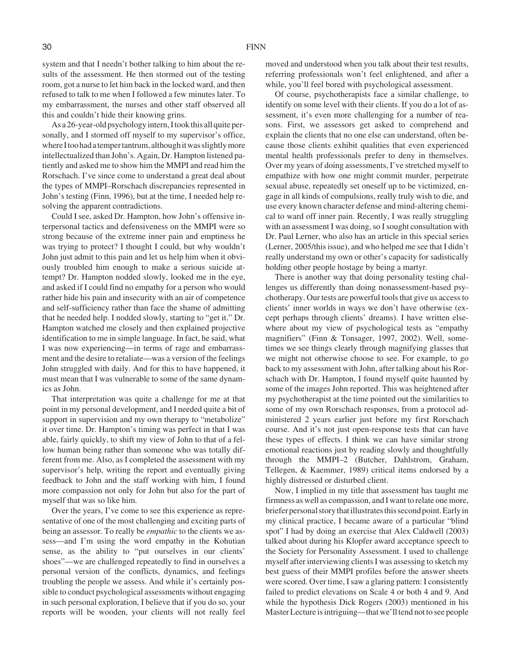system and that I needn't bother talking to him about the results of the assessment. He then stormed out of the testing room, got a nurse to let him back in the locked ward, and then refused to talk to me when I followed a few minutes later. To my embarrassment, the nurses and other staff observed all this and couldn't hide their knowing grins.

As a 26-year-old psychology intern, I took this all quite personally, and I stormed off myself to my supervisor's office, where I too had a temper tantrum, although it was slightly more intellectualized than John's. Again, Dr. Hampton listened patiently and asked me to show him the MMPI and read him the Rorschach. I've since come to understand a great deal about the types of MMPI–Rorschach discrepancies represented in John's testing (Finn, 1996), but at the time, I needed help resolving the apparent contradictions.

Could I see, asked Dr. Hampton, how John's offensive interpersonal tactics and defensiveness on the MMPI were so strong because of the extreme inner pain and emptiness he was trying to protect? I thought I could, but why wouldn't John just admit to this pain and let us help him when it obviously troubled him enough to make a serious suicide attempt? Dr. Hampton nodded slowly, looked me in the eye, and asked if I could find no empathy for a person who would rather hide his pain and insecurity with an air of competence and self-sufficiency rather than face the shame of admitting that he needed help. I nodded slowly, starting to "get it." Dr. Hampton watched me closely and then explained projective identification to me in simple language. In fact, he said, what I was now experiencing—in terms of rage and embarrassment and the desire to retaliate—was a version of the feelings John struggled with daily. And for this to have happened, it must mean that I was vulnerable to some of the same dynamics as John.

That interpretation was quite a challenge for me at that point in my personal development, and I needed quite a bit of support in supervision and my own therapy to "metabolize" it over time. Dr. Hampton's timing was perfect in that I was able, fairly quickly, to shift my view of John to that of a fellow human being rather than someone who was totally different from me. Also, as I completed the assessment with my supervisor's help, writing the report and eventually giving feedback to John and the staff working with him, I found more compassion not only for John but also for the part of myself that was so like him.

Over the years, I've come to see this experience as representative of one of the most challenging and exciting parts of being an assessor. To really be *empathic* to the clients we assess—and I'm using the word empathy in the Kohutian sense, as the ability to "put ourselves in our clients' shoes"—we are challenged repeatedly to find in ourselves a personal version of the conflicts, dynamics, and feelings troubling the people we assess. And while it's certainly possible to conduct psychological assessments without engaging in such personal exploration, I believe that if you do so, your reports will be wooden, your clients will not really feel moved and understood when you talk about their test results, referring professionals won't feel enlightened, and after a while, you'll feel bored with psychological assessment.

Of course, psychotherapists face a similar challenge, to identify on some level with their clients. If you do a lot of assessment, it's even more challenging for a number of reasons. First, we assessors get asked to comprehend and explain the clients that no one else can understand, often because those clients exhibit qualities that even experienced mental health professionals prefer to deny in themselves. Over my years of doing assessments, I've stretched myself to empathize with how one might commit murder, perpetrate sexual abuse, repeatedly set oneself up to be victimized, engage in all kinds of compulsions, really truly wish to die, and use every known character defense and mind-altering chemical to ward off inner pain. Recently, I was really struggling with an assessment I was doing, so I sought consultation with Dr. Paul Lerner, who also has an article in this special series (Lerner, 2005/this issue), and who helped me see that I didn't really understand my own or other's capacity for sadistically holding other people hostage by being a martyr.

There is another way that doing personality testing challenges us differently than doing nonassessment-based psychotherapy. Our tests are powerful tools that give us access to clients' inner worlds in ways we don't have otherwise (except perhaps through clients' dreams). I have written elsewhere about my view of psychological tests as "empathy magnifiers" (Finn & Tonsager, 1997, 2002). Well, sometimes we see things clearly through magnifying glasses that we might not otherwise choose to see. For example, to go back to my assessment with John, after talking about his Rorschach with Dr. Hampton, I found myself quite haunted by some of the images John reported. This was heightened after my psychotherapist at the time pointed out the similarities to some of my own Rorschach responses, from a protocol administered 2 years earlier just before my first Rorschach course. And it's not just open-response tests that can have these types of effects. I think we can have similar strong emotional reactions just by reading slowly and thoughtfully through the MMPI–2 (Butcher, Dahlstrom, Graham, Tellegen, & Kaemmer, 1989) critical items endorsed by a highly distressed or disturbed client.

Now, I implied in my title that assessment has taught me firmness as well as compassion, and I want to relate one more, briefer personal story that illustrates this second point. Early in my clinical practice, I became aware of a particular "blind spot" I had by doing an exercise that Alex Caldwell (2003) talked about during his Klopfer award acceptance speech to the Society for Personality Assessment. I used to challenge myself after interviewing clients I was assessing to sketch my best guess of their MMPI profiles before the answer sheets were scored. Over time, I saw a glaring pattern: I consistently failed to predict elevations on Scale 4 or both 4 and 9. And while the hypothesis Dick Rogers (2003) mentioned in his Master Lecture is intriguing—that we'll tend not to see people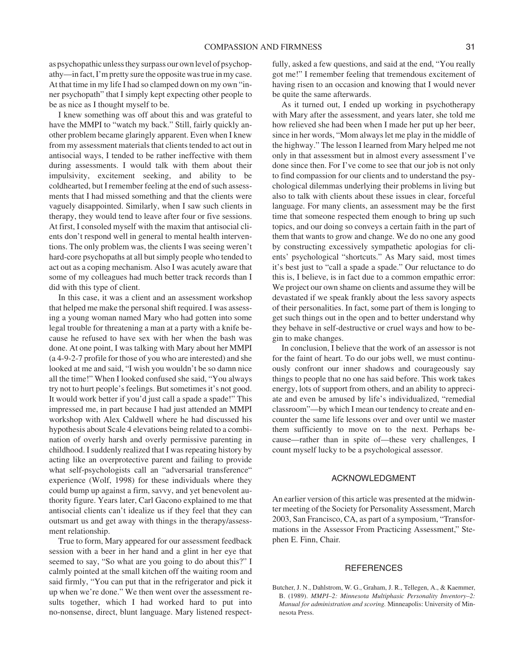as psychopathic unless they surpass our own level of psychopathy—in fact, I'm pretty sure the opposite was true in my case. At that time in my life I had so clamped down on my own "inner psychopath" that I simply kept expecting other people to be as nice as I thought myself to be.

I knew something was off about this and was grateful to have the MMPI to "watch my back." Still, fairly quickly another problem became glaringly apparent. Even when I knew from my assessment materials that clients tended to act out in antisocial ways, I tended to be rather ineffective with them during assessments. I would talk with them about their impulsivity, excitement seeking, and ability to be coldhearted, but I remember feeling at the end of such assessments that I had missed something and that the clients were vaguely disappointed. Similarly, when I saw such clients in therapy, they would tend to leave after four or five sessions. At first, I consoled myself with the maxim that antisocial clients don't respond well in general to mental health interventions. The only problem was, the clients I was seeing weren't hard-core psychopaths at all but simply people who tended to act out as a coping mechanism. Also I was acutely aware that some of my colleagues had much better track records than I did with this type of client.

In this case, it was a client and an assessment workshop that helped me make the personal shift required. I was assessing a young woman named Mary who had gotten into some legal trouble for threatening a man at a party with a knife because he refused to have sex with her when the bash was done. At one point, I was talking with Mary about her MMPI (a 4-9-2-7 profile for those of you who are interested) and she looked at me and said, "I wish you wouldn't be so damn nice all the time!" When I looked confused she said, "You always try not to hurt people's feelings. But sometimes it's not good. It would work better if you'd just call a spade a spade!" This impressed me, in part because I had just attended an MMPI workshop with Alex Caldwell where he had discussed his hypothesis about Scale 4 elevations being related to a combination of overly harsh and overly permissive parenting in childhood. I suddenly realized that I was repeating history by acting like an overprotective parent and failing to provide what self-psychologists call an "adversarial transference" experience (Wolf, 1998) for these individuals where they could bump up against a firm, savvy, and yet benevolent authority figure. Years later, Carl Gacono explained to me that antisocial clients can't idealize us if they feel that they can outsmart us and get away with things in the therapy/assessment relationship.

True to form, Mary appeared for our assessment feedback session with a beer in her hand and a glint in her eye that seemed to say, "So what are you going to do about this?" I calmly pointed at the small kitchen off the waiting room and said firmly, "You can put that in the refrigerator and pick it up when we're done." We then went over the assessment results together, which I had worked hard to put into no-nonsense, direct, blunt language. Mary listened respect-

fully, asked a few questions, and said at the end, "You really got me!" I remember feeling that tremendous excitement of having risen to an occasion and knowing that I would never be quite the same afterwards.

As it turned out, I ended up working in psychotherapy with Mary after the assessment, and years later, she told me how relieved she had been when I made her put up her beer, since in her words, "Mom always let me play in the middle of the highway." The lesson I learned from Mary helped me not only in that assessment but in almost every assessment I've done since then. For I've come to see that our job is not only to find compassion for our clients and to understand the psychological dilemmas underlying their problems in living but also to talk with clients about these issues in clear, forceful language. For many clients, an assessment may be the first time that someone respected them enough to bring up such topics, and our doing so conveys a certain faith in the part of them that wants to grow and change. We do no one any good by constructing excessively sympathetic apologias for clients' psychological "shortcuts." As Mary said, most times it's best just to "call a spade a spade." Our reluctance to do this is, I believe, is in fact due to a common empathic error: We project our own shame on clients and assume they will be devastated if we speak frankly about the less savory aspects of their personalities. In fact, some part of them is longing to get such things out in the open and to better understand why they behave in self-destructive or cruel ways and how to begin to make changes.

In conclusion, I believe that the work of an assessor is not for the faint of heart. To do our jobs well, we must continuously confront our inner shadows and courageously say things to people that no one has said before. This work takes energy, lots of support from others, and an ability to appreciate and even be amused by life's individualized, "remedial classroom"—by which I mean our tendency to create and encounter the same life lessons over and over until we master them sufficiently to move on to the next. Perhaps because—rather than in spite of—these very challenges, I count myself lucky to be a psychological assessor.

## ACKNOWLEDGMENT

An earlier version of this article was presented at the midwinter meeting of the Society for Personality Assessment, March 2003, San Francisco, CA, as part of a symposium, "Transformations in the Assessor From Practicing Assessment," Stephen E. Finn, Chair.

## **REFERENCES**

Butcher, J. N., Dahlstrom, W. G., Graham, J. R., Tellegen, A., & Kaemmer, B. (1989). *MMPI–2: Minnesota Multiphasic Personality Inventory–2: Manual for administration and scoring.* Minneapolis: University of Minnesota Press.